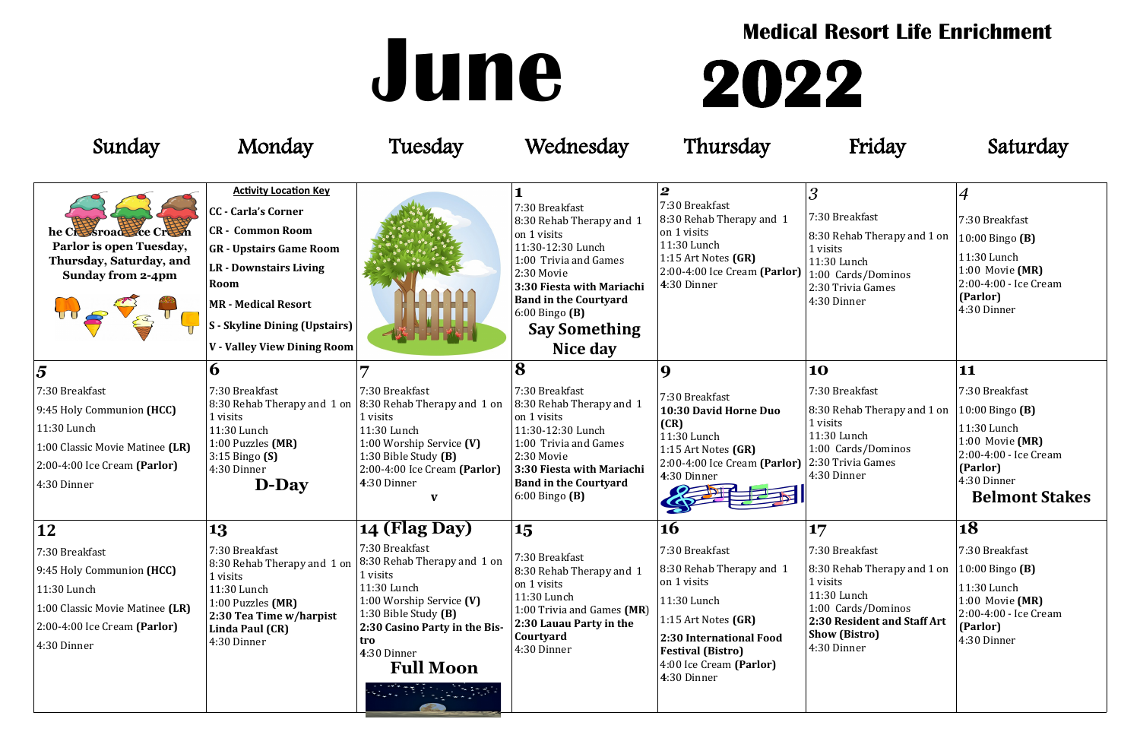| Sunday                                                                                                                                            | Monday                                                                                                                                                                                                                                                                | Tuesday                                                                                                                                                                                                    | Wednesday                                                                                                                                                                                                                                    | Thursday                                                                                                                                                                                           | Friday                                                                                                                                                                       | Saturday                                                                                                                                         |
|---------------------------------------------------------------------------------------------------------------------------------------------------|-----------------------------------------------------------------------------------------------------------------------------------------------------------------------------------------------------------------------------------------------------------------------|------------------------------------------------------------------------------------------------------------------------------------------------------------------------------------------------------------|----------------------------------------------------------------------------------------------------------------------------------------------------------------------------------------------------------------------------------------------|----------------------------------------------------------------------------------------------------------------------------------------------------------------------------------------------------|------------------------------------------------------------------------------------------------------------------------------------------------------------------------------|--------------------------------------------------------------------------------------------------------------------------------------------------|
| he Cressroades ce Cresti<br>Parlor is open Tuesday,<br>Thursday, Saturday, and<br><b>Sunday from 2-4pm</b>                                        | <b>Activity Location Key</b><br><b>CC</b> - Carla's Corner<br><b>CR</b> - Common Room<br><b>GR</b> - Upstairs Game Room<br><b>LR</b> - Downstairs Living<br>Room<br><b>MR - Medical Resort</b><br><b>S</b> - Skyline Dining (Upstairs)<br>V - Valley View Dining Room |                                                                                                                                                                                                            | 7:30 Breakfast<br>8:30 Rehab Therapy and 1<br>on 1 visits<br>11:30-12:30 Lunch<br>1:00 Trivia and Games<br>2:30 Movie<br>3:30 Fiesta with Mariachi<br><b>Band in the Courtyard</b><br>$6:00$ Bingo $(B)$<br><b>Say Something</b><br>Nice day | $\boldsymbol{2}$<br>7:30 Breakfast<br>8:30 Rehab Therapy and 1<br>on 1 visits<br>11:30 Lunch<br>1:15 Art Notes $(GR)$<br>2:00-4:00 Ice Cream (Parlor)<br>4:30 Dinner                               | $\overline{3}$<br>7:30 Breakfast<br>8:30 Rehab Therapy and 1 on<br>1 visits<br>11:30 Lunch<br>1:00 Cards/Dominos<br>2:30 Trivia Games<br>4:30 Dinner                         | $\boldsymbol{4}$<br>7:30 Breakfast<br>10:00 Bingo (B)<br>11:30 Lunch<br>1:00 Movie (MR)<br>2:00-4:00 - Ice Cream<br>(Parlor)<br>4:30 Dinner      |
| $\overline{5}$                                                                                                                                    | $\boldsymbol{\theta}$                                                                                                                                                                                                                                                 |                                                                                                                                                                                                            | 8                                                                                                                                                                                                                                            | $\mathbf Q$                                                                                                                                                                                        | 10                                                                                                                                                                           | 11                                                                                                                                               |
| 7:30 Breakfast<br>9:45 Holy Communion (HCC)<br>11:30 Lunch<br>1:00 Classic Movie Matinee (LR)<br>$2:00-4:00$ Ice Cream (Parlor)<br>4:30 Dinner    | 7:30 Breakfast<br>1 visits<br>11:30 Lunch<br>1:00 Puzzles (MR)<br>$3:15$ Bingo $(S)$<br>4:30 Dinner<br>D-Day                                                                                                                                                          | 7:30 Breakfast<br>8:30 Rehab Therapy and 1 on $ 8:30$ Rehab Therapy and 1 on<br>1 visits<br>11:30 Lunch<br>1:00 Worship Service (V)<br>1:30 Bible Study (B)<br>2:00-4:00 Ice Cream (Parlor)<br>4:30 Dinner | 7:30 Breakfast<br>8:30 Rehab Therapy and 1<br>on 1 visits<br>11:30-12:30 Lunch<br>1:00 Trivia and Games<br>2:30 Movie<br>3:30 Fiesta with Mariachi<br><b>Band in the Courtyard</b><br>$6:00$ Bingo $(B)$                                     | 7:30 Breakfast<br>10:30 David Horne Duo<br>(CR)<br>11:30 Lunch<br>1:15 Art Notes $(GR)$<br>2:00-4:00 Ice Cream (Parlor) 2:30 Trivia Games<br>4:30 Dinner                                           | 7:30 Breakfast<br>8:30 Rehab Therapy and 1 on<br>$\vert$ 1 visits<br>11:30 Lunch<br>1:00 Cards/Dominos<br>4:30 Dinner                                                        | 7:30 Breakfast<br>10:00 Bingo (B)<br>11:30 Lunch<br>1:00 Movie (MR)<br>2:00-4:00 - Ice Cream<br>(Parlor)<br>4:30 Dinner<br><b>Belmont Stakes</b> |
| 12                                                                                                                                                | 13                                                                                                                                                                                                                                                                    | 14 (Flag Day)                                                                                                                                                                                              | 15                                                                                                                                                                                                                                           | <b>16</b>                                                                                                                                                                                          | 17                                                                                                                                                                           | 18                                                                                                                                               |
| 7:30 Breakfast<br>$ 9:45$ Holy Communion (HCC)<br>11:30 Lunch<br>1:00 Classic Movie Matinee (LR)<br>$2:00-4:00$ Ice Cream (Parlor)<br>4:30 Dinner | 7:30 Breakfast<br>8:30 Rehab Therapy and 1 on<br>1 visits<br>11:30 Lunch<br>1:00 Puzzles (MR)<br>2:30 Tea Time w/harpist<br>Linda Paul (CR)<br>4:30 Dinner                                                                                                            | 7:30 Breakfast<br>8:30 Rehab Therapy and 1 on<br>1 visits<br>11:30 Lunch<br>1:00 Worship Service (V)<br>1:30 Bible Study (B)<br>2:30 Casino Party in the Bis-<br>tro<br>4:30 Dinner<br><b>Full Moon</b>    | 7:30 Breakfast<br>8:30 Rehab Therapy and 1<br>on 1 visits<br>11:30 Lunch<br>1:00 Trivia and Games (MR)<br>2:30 Lauau Party in the<br><b>Courtyard</b><br>4:30 Dinner                                                                         | 7:30 Breakfast<br>8:30 Rehab Therapy and 1<br>on 1 visits<br>11:30 Lunch<br>1:15 Art Notes $(GR)$<br>2:30 International Food<br><b>Festival (Bistro)</b><br>4:00 Ice Cream (Parlor)<br>4:30 Dinner | 7:30 Breakfast<br>8:30 Rehab Therapy and 1 on<br>$\vert$ 1 visits<br>11:30 Lunch<br>1:00 Cards/Dominos<br>2:30 Resident and Staff Art<br><b>Show (Bistro)</b><br>4:30 Dinner | 7:30 Breakfast<br>10:00 Bingo $(B)$<br>11:30 Lunch<br>1:00 Movie (MR)<br>2:00-4:00 - Ice Cream<br>(Parlor)<br>4:30 Dinner                        |

# **June 2022**



### **Medical Resort Life Enrichment**